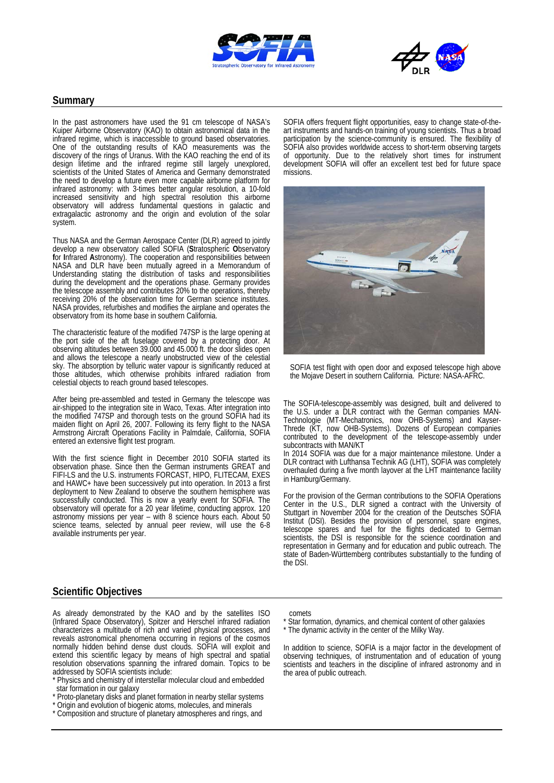



#### **Summary**

In the past astronomers have used the 91 cm telescope of NASA's Kuiper Airborne Observatory (KAO) to obtain astronomical data in the infrared regime, which is inaccessible to ground based observatories. One of the outstanding results of KAO measurements was the discovery of the rings of Uranus. With the KAO reaching the end of its design lifetime and the infrared regime still largely unexplored, scientists of the United States of America and Germany demonstrated the need to develop a future even more capable airborne platform for infrared astronomy: with 3-times better angular resolution, a 10-fold increased sensitivity and high spectral resolution this airborne observatory will address fundamental questions in galactic and extragalactic astronomy and the origin and evolution of the solar system.

Thus NASA and the German Aerospace Center (DLR) agreed to jointly develop a new observatory called SOFIA (**S**tratospheric **O**bservatory **f**or **I**nfrared **A**stronomy). The cooperation and responsibilities between NASA and DLR have been mutually agreed in a Memorandum of Understanding stating the distribution of tasks and responsibilities during the development and the operations phase. Germany provides the telescope assembly and contributes 20% to the operations, thereby receiving 20% of the observation time for German science institutes. NASA provides, refurbishes and modifies the airplane and operates the observatory from its home base in southern California.

The characteristic feature of the modified 747SP is the large opening at the port side of the aft fuselage covered by a protecting door. At observing altitudes between 39.000 and 45.000 ft. the door slides open and allows the telescope a nearly unobstructed view of the celestial sky. The absorption by telluric water vapour is significantly reduced at those altitudes, which otherwise prohibits infrared radiation from celestial objects to reach ground based telescopes.

After being pre-assembled and tested in Germany the telescope was air-shipped to the integration site in Waco, Texas. After integration into the modified 747SP and thorough tests on the ground SOFIA had its maiden flight on April 26, 2007. Following its ferry flight to the NASA Armstrong Aircraft Operations Facility in Palmdale, California, SOFIA entered an extensive flight test program.

With the first science flight in December 2010 SOFIA started its observation phase. Since then the German instruments GREAT and FIFI-LS and the U.S. instruments FORCAST, HIPO, FLITECAM, EXES and HAWC+ have been successively put into operation. In 2013 a first deployment to New Zealand to observe the southern hemisphere was successfully conducted. This is now a yearly event for SOFIA. The observatory will operate for a 20 year lifetime, conducting approx. 120 astronomy missions per year – with 8 science hours each. About 50 science teams, selected by annual peer review, will use the 6-8 available instruments per year.

SOFIA offers frequent flight opportunities, easy to change state-of-the- art instruments and hands-on training of young scientists. Thus a broad participation by the science-community is ensured. The flexibility of SOFIA also provides worldwide access to short-term observing targets of opportunity. Due to the relatively short times for instrument development SOFIA will offer an excellent test bed for future space missions.



SOFIA test flight with open door and exposed telescope high above the Mojave Desert in southern California. Picture: NASA-AFRC.

The SOFIA-telescope-assembly was designed, built and delivered to the U.S. under a DLR contract with the German companies MAN-Technologie (MT-Mechatronics, now OHB-Systems) and Kayser-Threde (KT, now OHB-Systems). Dozens of European companies contributed to the development of the telescope-assembly under subcontracts with MAN/KT

In 2014 SOFIA was due for a major maintenance milestone. Under a DLR contract with Lufthansa Technik AG (LHT), SOFIA was completely overhauled during a five month layover at the LHT maintenance facility in Hamburg/Germany.

For the provision of the German contributions to the SOFIA Operations Center in the U.S., DLR signed a contract with the University of Stuttgart in November 2004 for the creation of the Deutsches SOFIA Institut (DSI). Besides the provision of personnel, spare engines, telescope spares and fuel for the flights dedicated to German scientists, the DSI is responsible for the science coordination and representation in Germany and for education and public outreach. The state of Baden-Württemberg contributes substantially to the funding of the DSI.

## **Scientific Objectives**

As already demonstrated by the KAO and by the satellites ISO (Infrared Space Observatory), Spitzer and Herschel infrared radiation characterizes a multitude of rich and varied physical processes, and reveals astronomical phenomena occurring in regions of the cosmos normally hidden behind dense dust clouds. SOFIA will exploit and extend this scientific legacy by means of high spectral and spatial resolution observations spanning the infrared domain. Topics to be addressed by SOFIA scientists include:

- \* Physics and chemistry of interstellar molecular cloud and embedded star formation in our galaxy
- \* Proto-planetary disks and planet formation in nearby stellar systems
- \* Origin and evolution of biogenic atoms, molecules, and minerals
- Composition and structure of planetary atmospheres and rings, and

comets

- Star formation, dynamics, and chemical content of other galaxies
- \* The dynamic activity in the center of the Milky Way.

In addition to science, SOFIA is a major factor in the development of observing techniques, of instrumentation and of education of young scientists and teachers in the discipline of infrared astronomy and in the area of public outreach.